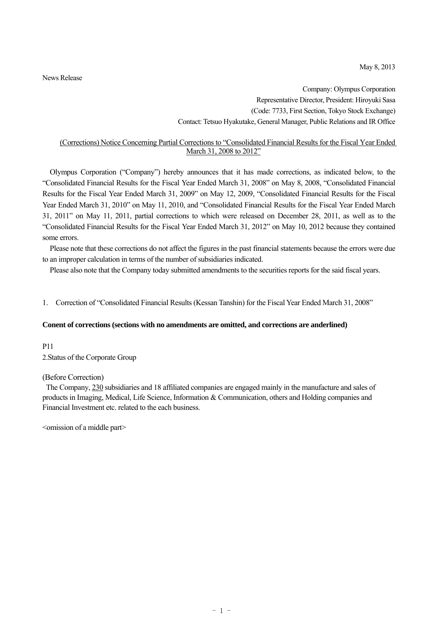May 8, 2013

News Release

Company: Olympus Corporation Representative Director, President: Hiroyuki Sasa (Code: 7733, First Section, Tokyo Stock Exchange) Contact: Tetsuo Hyakutake, General Manager, Public Relations and IR Office

#### (Corrections) Notice Concerning Partial Corrections to "Consolidated Financial Results for the Fiscal Year Ended March 31, 2008 to 2012"

Olympus Corporation ("Company") hereby announces that it has made corrections, as indicated below, to the "Consolidated Financial Results for the Fiscal Year Ended March 31, 2008" on May 8, 2008, "Consolidated Financial Results for the Fiscal Year Ended March 31, 2009" on May 12, 2009, "Consolidated Financial Results for the Fiscal Year Ended March 31, 2010" on May 11, 2010, and "Consolidated Financial Results for the Fiscal Year Ended March 31, 2011" on May 11, 2011, partial corrections to which were released on December 28, 2011, as well as to the "Consolidated Financial Results for the Fiscal Year Ended March 31, 2012" on May 10, 2012 because they contained some errors.

Please note that these corrections do not affect the figures in the past financial statements because the errors were due to an improper calculation in terms of the number of subsidiaries indicated.

Please also note that the Company today submitted amendments to the securities reports for the said fiscal years.

1. Correction of "Consolidated Financial Results (Kessan Tanshin) for the Fiscal Year Ended March 31, 2008"

#### **Conent of corrections (sections with no amendments are omitted, and corrections are anderlined)**

P11 2.Status of the Corporate Group

#### (Before Correction)

The Company, 230 subsidiaries and 18 affiliated companies are engaged mainly in the manufacture and sales of products in Imaging, Medical, Life Science, Information & Communication, others and Holding companies and Financial Investment etc. related to the each business.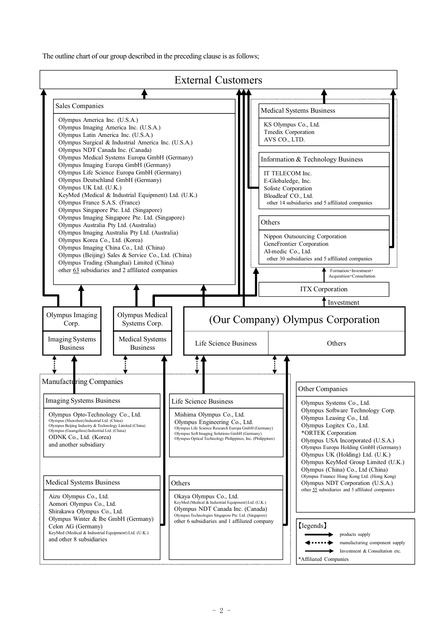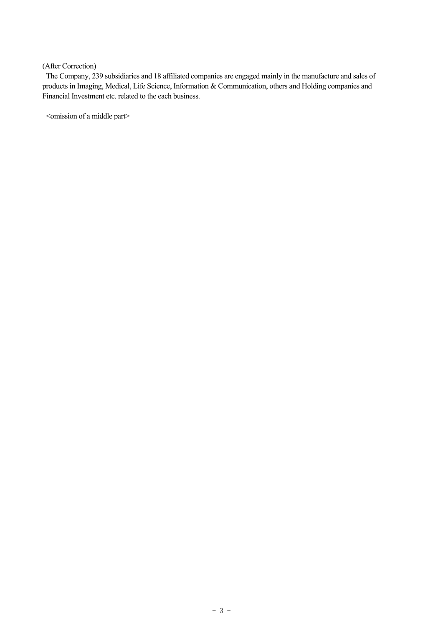The Company, 239 subsidiaries and 18 affiliated companies are engaged mainly in the manufacture and sales of products in Imaging, Medical, Life Science, Information & Communication, others and Holding companies and Financial Investment etc. related to the each business.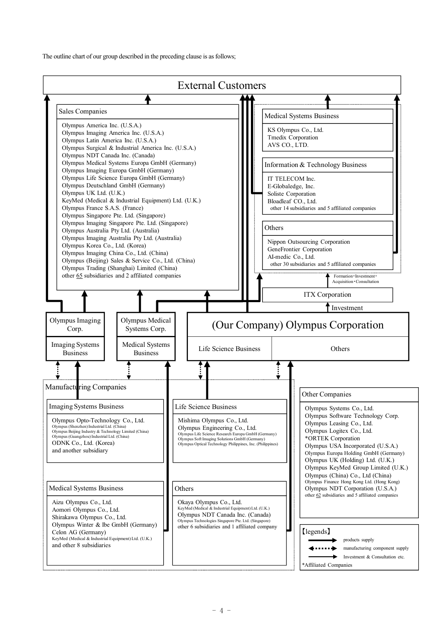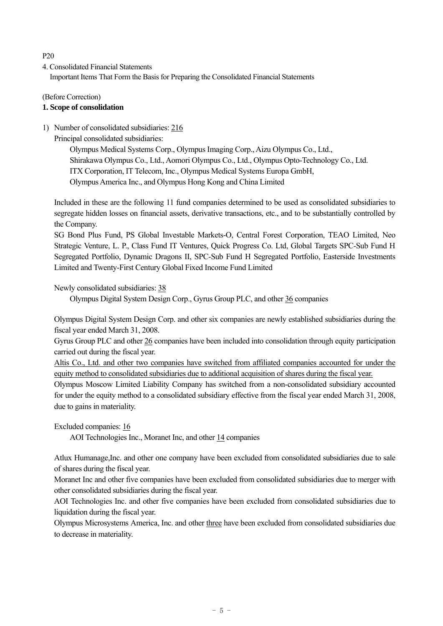# $P20$

4. Consolidated Financial Statements Important Items That Form the Basis for Preparing the Consolidated Financial Statements

# (Before Correction)

# **1. Scope of consolidation**

# 1) Number of consolidated subsidiaries: 216

Principal consolidated subsidiaries:

Olympus Medical Systems Corp., Olympus Imaging Corp., Aizu Olympus Co., Ltd., Shirakawa Olympus Co., Ltd., Aomori Olympus Co., Ltd., Olympus Opto-Technology Co., Ltd. ITX Corporation, IT Telecom, Inc., Olympus Medical Systems Europa GmbH, Olympus America Inc., and Olympus Hong Kong and China Limited

Included in these are the following 11 fund companies determined to be used as consolidated subsidiaries to segregate hidden losses on financial assets, derivative transactions, etc., and to be substantially controlled by the Company.

SG Bond Plus Fund, PS Global Investable Markets-O, Central Forest Corporation, TEAO Limited, Neo Strategic Venture, L. P., Class Fund IT Ventures, Quick Progress Co. Ltd, Global Targets SPC-Sub Fund H Segregated Portfolio, Dynamic Dragons II, SPC-Sub Fund H Segregated Portfolio, Easterside Investments Limited and Twenty-First Century Global Fixed Income Fund Limited

Newly consolidated subsidiaries: 38

Olympus Digital System Design Corp., Gyrus Group PLC, and other 36 companies

Olympus Digital System Design Corp. and other six companies are newly established subsidiaries during the fiscal year ended March 31, 2008.

Gyrus Group PLC and other 26 companies have been included into consolidation through equity participation carried out during the fiscal year.

Altis Co., Ltd. and other two companies have switched from affiliated companies accounted for under the equity method to consolidated subsidiaries due to additional acquisition of shares during the fiscal year.

Olympus Moscow Limited Liability Company has switched from a non-consolidated subsidiary accounted for under the equity method to a consolidated subsidiary effective from the fiscal year ended March 31, 2008, due to gains in materiality.

Excluded companies: 16

AOI Technologies Inc., Moranet Inc, and other 14 companies

Atlux Humanage,Inc. and other one company have been excluded from consolidated subsidiaries due to sale of shares during the fiscal year.

Moranet Inc and other five companies have been excluded from consolidated subsidiaries due to merger with other consolidated subsidiaries during the fiscal year.

AOI Technologies Inc. and other five companies have been excluded from consolidated subsidiaries due to liquidation during the fiscal year.

Olympus Microsystems America, Inc. and other three have been excluded from consolidated subsidiaries due to decrease in materiality.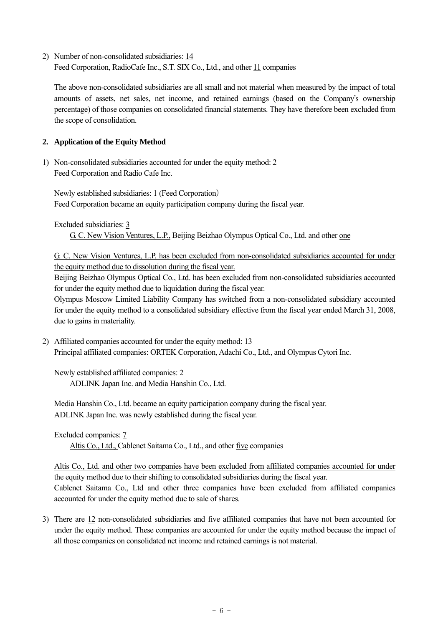2) Number of non-consolidated subsidiaries: 14 Feed Corporation, RadioCafe Inc., S.T. SIX Co., Ltd., and other 11 companies

The above non-consolidated subsidiaries are all small and not material when measured by the impact of total amounts of assets, net sales, net income, and retained earnings (based on the Company's ownership percentage) of those companies on consolidated financial statements. They have therefore been excluded from the scope of consolidation.

# **2. Application of the Equity Method**

1) Non-consolidated subsidiaries accounted for under the equity method: 2 Feed Corporation and Radio Cafe Inc.

Newly established subsidiaries: 1 (Feed Corporation) Feed Corporation became an equity participation company during the fiscal year.

Excluded subsidiaries: 3

G. C. New Vision Ventures, L.P., Beijing Beizhao Olympus Optical Co., Ltd. and other one

G. C. New Vision Ventures, L.P. has been excluded from non-consolidated subsidiaries accounted for under the equity method due to dissolution during the fiscal year.

Beijing Beizhao Olympus Optical Co., Ltd. has been excluded from non-consolidated subsidiaries accounted for under the equity method due to liquidation during the fiscal year.

Olympus Moscow Limited Liability Company has switched from a non-consolidated subsidiary accounted for under the equity method to a consolidated subsidiary effective from the fiscal year ended March 31, 2008, due to gains in materiality.

2) Affiliated companies accounted for under the equity method: 13 Principal affiliated companies: ORTEK Corporation, Adachi Co., Ltd., and Olympus Cytori Inc.

Newly established affiliated companies: 2 ADLINK Japan Inc. and Media Hanshin Co., Ltd.

Media Hanshin Co., Ltd. became an equity participation company during the fiscal year. ADLINK Japan Inc. was newly established during the fiscal year.

Excluded companies: 7

Altis Co., Ltd., Cablenet Saitama Co., Ltd., and other five companies

Altis Co., Ltd. and other two companies have been excluded from affiliated companies accounted for under the equity method due to their shifting to consolidated subsidiaries during the fiscal year. Cablenet Saitama Co., Ltd and other three companies have been excluded from affiliated companies

accounted for under the equity method due to sale of shares.

3) There are 12 non-consolidated subsidiaries and five affiliated companies that have not been accounted for under the equity method. These companies are accounted for under the equity method because the impact of all those companies on consolidated net income and retained earnings is not material.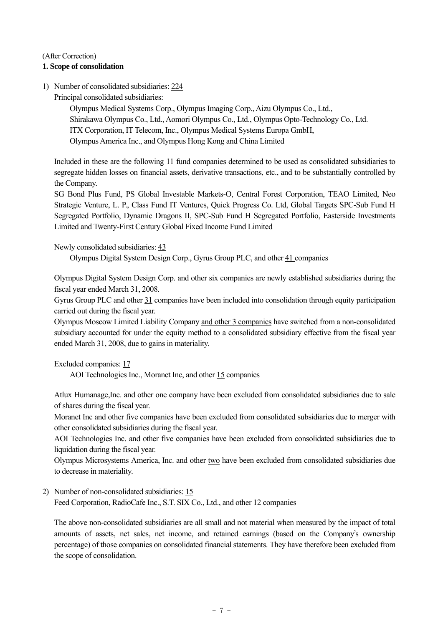# **1. Scope of consolidation**

1) Number of consolidated subsidiaries: 224

Principal consolidated subsidiaries:

Olympus Medical Systems Corp., Olympus Imaging Corp., Aizu Olympus Co., Ltd., Shirakawa Olympus Co., Ltd., Aomori Olympus Co., Ltd., Olympus Opto-Technology Co., Ltd. ITX Corporation, IT Telecom, Inc., Olympus Medical Systems Europa GmbH, Olympus America Inc., and Olympus Hong Kong and China Limited

Included in these are the following 11 fund companies determined to be used as consolidated subsidiaries to segregate hidden losses on financial assets, derivative transactions, etc., and to be substantially controlled by the Company.

SG Bond Plus Fund, PS Global Investable Markets-O, Central Forest Corporation, TEAO Limited, Neo Strategic Venture, L. P., Class Fund IT Ventures, Quick Progress Co. Ltd, Global Targets SPC-Sub Fund H Segregated Portfolio, Dynamic Dragons II, SPC-Sub Fund H Segregated Portfolio, Easterside Investments Limited and Twenty-First Century Global Fixed Income Fund Limited

Newly consolidated subsidiaries: 43

Olympus Digital System Design Corp., Gyrus Group PLC, and other 41 companies

Olympus Digital System Design Corp. and other six companies are newly established subsidiaries during the fiscal year ended March 31, 2008.

Gyrus Group PLC and other 31 companies have been included into consolidation through equity participation carried out during the fiscal year.

Olympus Moscow Limited Liability Company and other 3 companies have switched from a non-consolidated subsidiary accounted for under the equity method to a consolidated subsidiary effective from the fiscal year ended March 31, 2008, due to gains in materiality.

Excluded companies: 17

AOI Technologies Inc., Moranet Inc, and other 15 companies

Atlux Humanage,Inc. and other one company have been excluded from consolidated subsidiaries due to sale of shares during the fiscal year.

Moranet Inc and other five companies have been excluded from consolidated subsidiaries due to merger with other consolidated subsidiaries during the fiscal year.

AOI Technologies Inc. and other five companies have been excluded from consolidated subsidiaries due to liquidation during the fiscal year.

Olympus Microsystems America, Inc. and other two have been excluded from consolidated subsidiaries due to decrease in materiality.

2) Number of non-consolidated subsidiaries: 15 Feed Corporation, RadioCafe Inc., S.T. SIX Co., Ltd., and other 12 companies

The above non-consolidated subsidiaries are all small and not material when measured by the impact of total amounts of assets, net sales, net income, and retained earnings (based on the Company's ownership percentage) of those companies on consolidated financial statements. They have therefore been excluded from the scope of consolidation.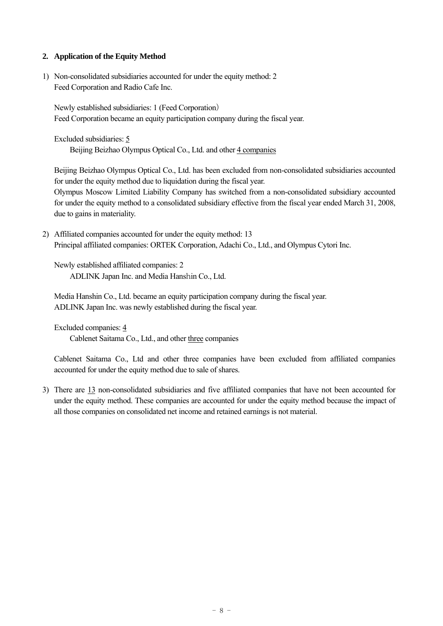# **2. Application of the Equity Method**

1) Non-consolidated subsidiaries accounted for under the equity method: 2 Feed Corporation and Radio Cafe Inc.

Newly established subsidiaries: 1 (Feed Corporation) Feed Corporation became an equity participation company during the fiscal year.

Excluded subsidiaries: 5 Beijing Beizhao Olympus Optical Co., Ltd. and other 4 companies

Beijing Beizhao Olympus Optical Co., Ltd. has been excluded from non-consolidated subsidiaries accounted for under the equity method due to liquidation during the fiscal year. Olympus Moscow Limited Liability Company has switched from a non-consolidated subsidiary accounted for under the equity method to a consolidated subsidiary effective from the fiscal year ended March 31, 2008, due to gains in materiality.

2) Affiliated companies accounted for under the equity method: 13 Principal affiliated companies: ORTEK Corporation, Adachi Co., Ltd., and Olympus Cytori Inc.

Newly established affiliated companies: 2 ADLINK Japan Inc. and Media Hanshin Co., Ltd.

Media Hanshin Co., Ltd. became an equity participation company during the fiscal year. ADLINK Japan Inc. was newly established during the fiscal year.

Excluded companies: 4

Cablenet Saitama Co., Ltd., and other three companies

Cablenet Saitama Co., Ltd and other three companies have been excluded from affiliated companies accounted for under the equity method due to sale of shares.

3) There are 13 non-consolidated subsidiaries and five affiliated companies that have not been accounted for under the equity method. These companies are accounted for under the equity method because the impact of all those companies on consolidated net income and retained earnings is not material.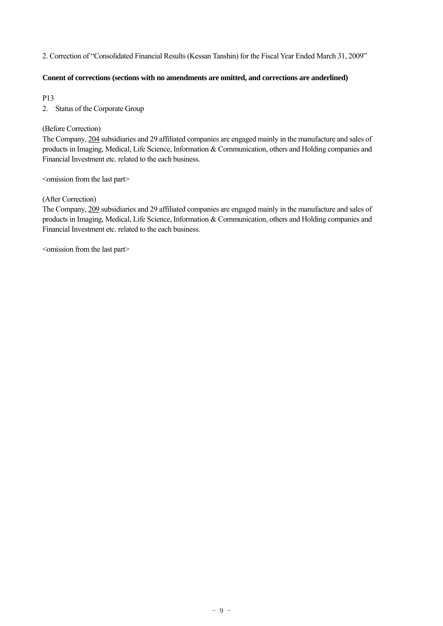#### 2. Correction of "Consolidated Financial Results (Kessan Tanshin) for the Fiscal Year Ended March 31, 2009"

#### **Conent of corrections (sections with no amendments are omitted, and corrections are anderlined)**

P13

2. Status of the Corporate Group

#### (Before Correction)

The Company, 204 subsidiaries and 29 affiliated companies are engaged mainly in the manufacture and sales of products in Imaging, Medical, Life Science, Information & Communication, others and Holding companies and Financial Investment etc. related to the each business.

 $\leq$ omission from the last part $\geq$ 

#### (After Correction)

The Company, 209 subsidiaries and 29 affiliated companies are engaged mainly in the manufacture and sales of products in Imaging, Medical, Life Science, Information & Communication, others and Holding companies and Financial Investment etc. related to the each business.

<omission from the last part>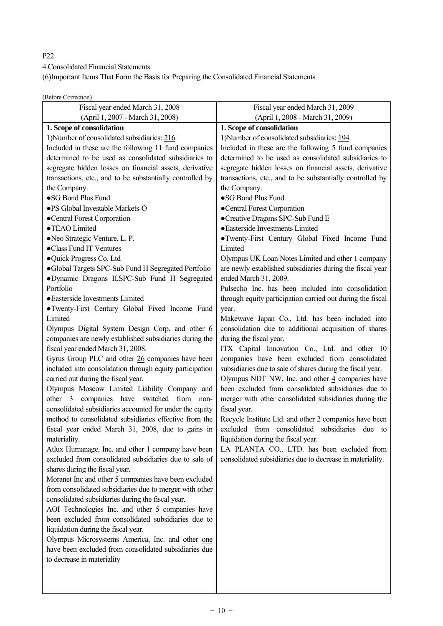# P22

4.Consolidated Financial Statements

(6)Important Items That Form the Basis for Preparing the Consolidated Financial Statements

(Before Correction)

| Fiscal year ended March 31, 2008                                                             | Fiscal year ended March 31, 2009                                         |
|----------------------------------------------------------------------------------------------|--------------------------------------------------------------------------|
| (April 1, 2007 - March 31, 2008)                                                             | (April 1, 2008 - March 31, 2009)                                         |
| 1. Scope of consolidation                                                                    | 1. Scope of consolidation                                                |
| 1) Number of consolidated subsidiaries: 216                                                  | 1) Number of consolidated subsidiaries: 194                              |
| Included in these are the following 11 fund companies                                        | Included in these are the following 5 fund companies                     |
| determined to be used as consolidated subsidiaries to                                        | determined to be used as consolidated subsidiaries to                    |
| segregate hidden losses on financial assets, derivative                                      | segregate hidden losses on financial assets, derivative                  |
| transactions, etc., and to be substantially controlled by                                    | transactions, etc., and to be substantially controlled by                |
| the Company.                                                                                 | the Company.                                                             |
| •SG Bond Plus Fund                                                                           | •SG Bond Plus Fund                                                       |
| ·PS Global Investable Markets-O                                                              | •Central Forest Corporation                                              |
| •Central Forest Corporation                                                                  | •Creative Dragons SPC-Sub Fund E                                         |
| •TEAO Limited                                                                                | · Easterside Investments Limited                                         |
| • Neo Strategic Venture, L. P.                                                               | • Twenty-First Century Global Fixed Income Fund                          |
| •Class Fund IT Ventures                                                                      | Limited                                                                  |
| ·Quick Progress Co. Ltd                                                                      | Olympus UK Loan Notes Limited and other 1 company                        |
| ·Global Targets SPC-Sub Fund H Segregated Portfolio                                          | are newly established subsidiaries during the fiscal year                |
| ·Dynamic Dragons II, SPC-Sub Fund H Segregated                                               | ended March 31, 2009.                                                    |
| Portfolio                                                                                    | Pulsecho Inc. has been included into consolidation                       |
| · Easterside Investments Limited                                                             | through equity participation carried out during the fiscal               |
| ·Twenty-First Century Global Fixed Income Fund                                               | year.                                                                    |
| Limited                                                                                      | Makewave Japan Co., Ltd. has been included into                          |
| Olympus Digital System Design Corp. and other 6                                              | consolidation due to additional acquisition of shares                    |
| companies are newly established subsidiaries during the<br>fiscal year ended March 31, 2008. | during the fiscal year.<br>ITX Capital Innovation Co., Ltd. and other 10 |
| Gyrus Group PLC and other 26 companies have been                                             | companies have been excluded from consolidated                           |
| included into consolidation through equity participation                                     | subsidiaries due to sale of shares during the fiscal year.               |
| carried out during the fiscal year.                                                          | Olympus NDT NW, Inc. and other $\frac{4}{3}$ companies have              |
| Olympus Moscow Limited Liability Company and                                                 | been excluded from consolidated subsidiaries due to                      |
| other 3 companies have switched from non-                                                    | merger with other consolidated subsidiaries during the                   |
| consolidated subsidiaries accounted for under the equity                                     | fiscal year.                                                             |
| method to consolidated subsidiaries effective from the                                       | Recycle Institute Ltd. and other 2 companies have been                   |
| fiscal year ended March 31, 2008, due to gains in                                            | excluded from consolidated subsidiaries<br>due to                        |
| materiality.                                                                                 | liquidation during the fiscal year.                                      |
| Atlux Humanage, Inc. and other 1 company have been                                           | LA PLANTA CO., LTD. has been excluded from                               |
| excluded from consolidated subsidiaries due to sale of                                       | consolidated subsidiaries due to decrease in materiality.                |
| shares during the fiscal year.                                                               |                                                                          |
| Moranet Inc and other 5 companies have been excluded                                         |                                                                          |
| from consolidated subsidiaries due to merger with other                                      |                                                                          |
| consolidated subsidiaries during the fiscal year.                                            |                                                                          |
| AOI Technologies Inc. and other 5 companies have                                             |                                                                          |
| been excluded from consolidated subsidiaries due to                                          |                                                                          |
| liquidation during the fiscal year.                                                          |                                                                          |
| Olympus Microsystems America, Inc. and other one                                             |                                                                          |
| have been excluded from consolidated subsidiaries due                                        |                                                                          |
| to decrease in materiality                                                                   |                                                                          |
|                                                                                              |                                                                          |
|                                                                                              |                                                                          |
|                                                                                              |                                                                          |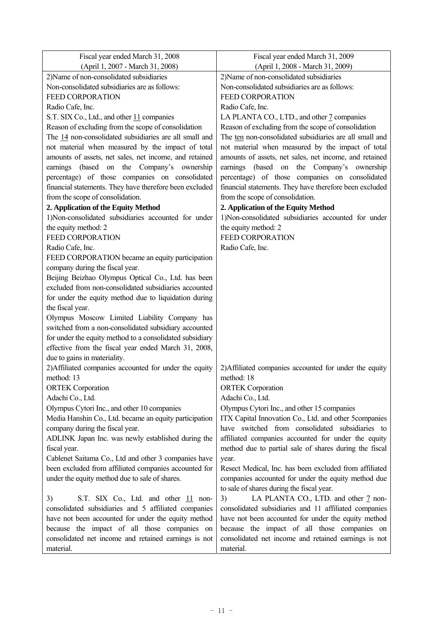| Fiscal year ended March 31, 2008                         | Fiscal year ended March 31, 2009                        |
|----------------------------------------------------------|---------------------------------------------------------|
| (April 1, 2007 - March 31, 2008)                         | (April 1, 2008 - March 31, 2009)                        |
| 2) Name of non-consolidated subsidiaries                 | 2) Name of non-consolidated subsidiaries                |
| Non-consolidated subsidiaries are as follows:            | Non-consolidated subsidiaries are as follows:           |
| <b>FEED CORPORATION</b>                                  | FEED CORPORATION                                        |
| Radio Cafe, Inc.                                         | Radio Cafe, Inc.                                        |
| S.T. SIX Co., Ltd., and other 11 companies               | LA PLANTA CO., LTD., and other 7 companies              |
| Reason of excluding from the scope of consolidation      | Reason of excluding from the scope of consolidation     |
| The 14 non-consolidated subsidiaries are all small and   | The ten non-consolidated subsidiaries are all small and |
| not material when measured by the impact of total        | not material when measured by the impact of total       |
| amounts of assets, net sales, net income, and retained   | amounts of assets, net sales, net income, and retained  |
| earnings (based<br>the<br>Company's<br>on<br>ownership   | earnings (based on the<br>Company's ownership           |
| percentage) of those companies on consolidated           | percentage) of those companies on consolidated          |
| financial statements. They have therefore been excluded  | financial statements. They have therefore been excluded |
| from the scope of consolidation.                         | from the scope of consolidation.                        |
| 2. Application of the Equity Method                      | 2. Application of the Equity Method                     |
| 1)Non-consolidated subsidiaries accounted for under      | 1)Non-consolidated subsidiaries accounted for under     |
| the equity method: 2                                     | the equity method: 2                                    |
| <b>FEED CORPORATION</b>                                  | <b>FEED CORPORATION</b>                                 |
| Radio Cafe, Inc.                                         | Radio Cafe, Inc.                                        |
| FEED CORPORATION became an equity participation          |                                                         |
| company during the fiscal year.                          |                                                         |
| Beijing Beizhao Olympus Optical Co., Ltd. has been       |                                                         |
| excluded from non-consolidated subsidiaries accounted    |                                                         |
| for under the equity method due to liquidation during    |                                                         |
| the fiscal year.                                         |                                                         |
| Olympus Moscow Limited Liability Company has             |                                                         |
| switched from a non-consolidated subsidiary accounted    |                                                         |
| for under the equity method to a consolidated subsidiary |                                                         |
| effective from the fiscal year ended March 31, 2008,     |                                                         |
| due to gains in materiality.                             |                                                         |
| 2) Affiliated companies accounted for under the equity   | 2) Affiliated companies accounted for under the equity  |
| method: 13                                               | method: 18                                              |
| <b>ORTEK</b> Corporation                                 | <b>ORTEK</b> Corporation                                |
| Adachi Co., Ltd.                                         | Adachi Co., Ltd.                                        |
| Olympus Cytori Inc., and other 10 companies              | Olympus Cytori Inc., and other 15 companies             |
| Media Hanshin Co., Ltd. became an equity participation   | ITX Capital Innovation Co., Ltd. and other 5companies   |
| company during the fiscal year.                          | have switched from consolidated subsidiaries to         |
| ADLINK Japan Inc. was newly established during the       | affiliated companies accounted for under the equity     |
| fiscal year.                                             | method due to partial sale of shares during the fiscal  |
| Cablenet Saitama Co., Ltd and other 3 companies have     | year.                                                   |
| been excluded from affiliated companies accounted for    | Resect Medical, Inc. has been excluded from affiliated  |
| under the equity method due to sale of shares.           | companies accounted for under the equity method due     |
|                                                          | to sale of shares during the fiscal year.               |
| S.T. SIX Co., Ltd. and other 11 non-<br>3)               | LA PLANTA CO., LTD. and other 7 non-<br>3)              |
| consolidated subsidiaries and 5 affiliated companies     | consolidated subsidiaries and 11 affiliated companies   |
| have not been accounted for under the equity method      | have not been accounted for under the equity method     |
| because the impact of all those companies on             | because the impact of all those companies on            |
| consolidated net income and retained earnings is not     | consolidated net income and retained earnings is not    |
| material.                                                | material.                                               |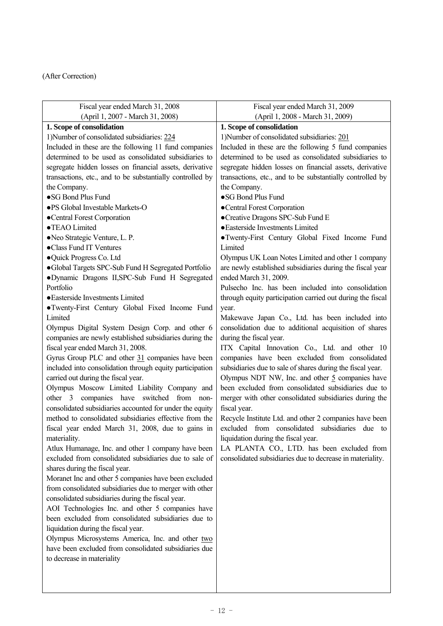| Fiscal year ended March 31, 2008                                                      | Fiscal year ended March 31, 2009                                                                |
|---------------------------------------------------------------------------------------|-------------------------------------------------------------------------------------------------|
| (April 1, 2007 - March 31, 2008)                                                      | (April 1, 2008 - March 31, 2009)                                                                |
| 1. Scope of consolidation                                                             | 1. Scope of consolidation                                                                       |
| 1) Number of consolidated subsidiaries: 224                                           | 1) Number of consolidated subsidiaries: 201                                                     |
| Included in these are the following 11 fund companies                                 | Included in these are the following 5 fund companies                                            |
| determined to be used as consolidated subsidiaries to                                 | determined to be used as consolidated subsidiaries to                                           |
| segregate hidden losses on financial assets, derivative                               | segregate hidden losses on financial assets, derivative                                         |
| transactions, etc., and to be substantially controlled by                             | transactions, etc., and to be substantially controlled by                                       |
| the Company.                                                                          | the Company.                                                                                    |
| •SG Bond Plus Fund                                                                    | ·SG Bond Plus Fund                                                                              |
| ·PS Global Investable Markets-O                                                       | •Central Forest Corporation                                                                     |
| •Central Forest Corporation                                                           | •Creative Dragons SPC-Sub Fund E                                                                |
| •TEAO Limited                                                                         | • Easterside Investments Limited                                                                |
| • Neo Strategic Venture, L. P.                                                        | • Twenty-First Century Global Fixed Income Fund                                                 |
| •Class Fund IT Ventures                                                               | Limited                                                                                         |
| •Quick Progress Co. Ltd                                                               | Olympus UK Loan Notes Limited and other 1 company                                               |
| •Global Targets SPC-Sub Fund H Segregated Portfolio                                   | are newly established subsidiaries during the fiscal year                                       |
| ·Dynamic Dragons II, SPC-Sub Fund H Segregated                                        | ended March 31, 2009.                                                                           |
| Portfolio                                                                             | Pulsecho Inc. has been included into consolidation                                              |
| • Easterside Investments Limited                                                      | through equity participation carried out during the fiscal                                      |
| • Twenty-First Century Global Fixed Income Fund                                       | year.                                                                                           |
| Limited                                                                               | Makewave Japan Co., Ltd. has been included into                                                 |
| Olympus Digital System Design Corp. and other 6                                       | consolidation due to additional acquisition of shares                                           |
| companies are newly established subsidiaries during the                               | during the fiscal year.                                                                         |
| fiscal year ended March 31, 2008.<br>Gyrus Group PLC and other 31 companies have been | ITX Capital Innovation Co., Ltd. and other 10<br>companies have been excluded from consolidated |
| included into consolidation through equity participation                              | subsidiaries due to sale of shares during the fiscal year.                                      |
| carried out during the fiscal year.                                                   | Olympus NDT NW, Inc. and other $5$ companies have                                               |
| Olympus Moscow Limited Liability Company and                                          | been excluded from consolidated subsidiaries due to                                             |
| companies have<br>switched from non-<br>$other \quad 3$                               | merger with other consolidated subsidiaries during the                                          |
| consolidated subsidiaries accounted for under the equity                              | fiscal year.                                                                                    |
| method to consolidated subsidiaries effective from the                                | Recycle Institute Ltd. and other 2 companies have been                                          |
| fiscal year ended March 31, 2008, due to gains in                                     | excluded from consolidated subsidiaries due to                                                  |
| materiality.                                                                          | liquidation during the fiscal year.                                                             |
| Atlux Humanage, Inc. and other 1 company have been                                    | LA PLANTA CO., LTD. has been excluded from                                                      |
| excluded from consolidated subsidiaries due to sale of                                | consolidated subsidiaries due to decrease in materiality.                                       |
| shares during the fiscal year.                                                        |                                                                                                 |
| Moranet Inc and other 5 companies have been excluded                                  |                                                                                                 |
| from consolidated subsidiaries due to merger with other                               |                                                                                                 |
| consolidated subsidiaries during the fiscal year.                                     |                                                                                                 |
| AOI Technologies Inc. and other 5 companies have                                      |                                                                                                 |
| been excluded from consolidated subsidiaries due to                                   |                                                                                                 |
| liquidation during the fiscal year.                                                   |                                                                                                 |
| Olympus Microsystems America, Inc. and other two                                      |                                                                                                 |
| have been excluded from consolidated subsidiaries due                                 |                                                                                                 |
| to decrease in materiality                                                            |                                                                                                 |
|                                                                                       |                                                                                                 |
|                                                                                       |                                                                                                 |
|                                                                                       |                                                                                                 |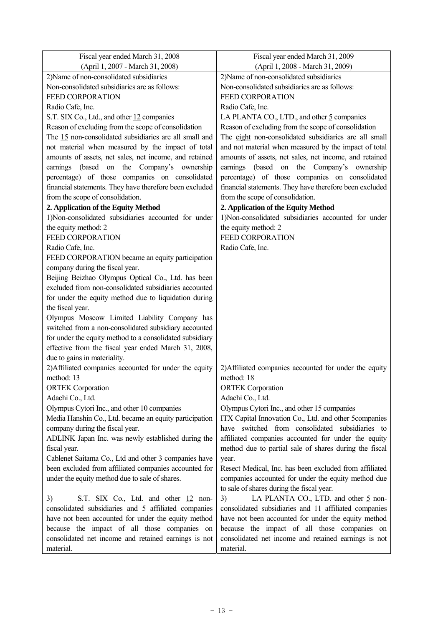| Fiscal year ended March 31, 2008                         | Fiscal year ended March 31, 2009                        |
|----------------------------------------------------------|---------------------------------------------------------|
| (April 1, 2007 - March 31, 2008)                         | (April 1, 2008 - March 31, 2009)                        |
| 2) Name of non-consolidated subsidiaries                 | 2) Name of non-consolidated subsidiaries                |
| Non-consolidated subsidiaries are as follows:            | Non-consolidated subsidiaries are as follows:           |
| <b>FEED CORPORATION</b>                                  | FEED CORPORATION                                        |
| Radio Cafe, Inc.                                         | Radio Cafe, Inc.                                        |
| S.T. SIX Co., Ltd., and other 12 companies               | LA PLANTA CO., LTD., and other 5 companies              |
| Reason of excluding from the scope of consolidation      | Reason of excluding from the scope of consolidation     |
| The 15 non-consolidated subsidiaries are all small and   | The eight non-consolidated subsidiaries are all small   |
| not material when measured by the impact of total        | and not material when measured by the impact of total   |
| amounts of assets, net sales, net income, and retained   | amounts of assets, net sales, net income, and retained  |
| earnings (based<br>the<br>Company's<br>on<br>ownership   | earnings (based on the Company's ownership              |
| percentage) of those companies on consolidated           | percentage) of those companies on consolidated          |
| financial statements. They have therefore been excluded  | financial statements. They have therefore been excluded |
| from the scope of consolidation.                         | from the scope of consolidation.                        |
| 2. Application of the Equity Method                      | 2. Application of the Equity Method                     |
| 1)Non-consolidated subsidiaries accounted for under      | 1)Non-consolidated subsidiaries accounted for under     |
| the equity method: 2                                     | the equity method: 2                                    |
| <b>FEED CORPORATION</b>                                  | <b>FEED CORPORATION</b>                                 |
| Radio Cafe, Inc.                                         | Radio Cafe, Inc.                                        |
| FEED CORPORATION became an equity participation          |                                                         |
| company during the fiscal year.                          |                                                         |
| Beijing Beizhao Olympus Optical Co., Ltd. has been       |                                                         |
| excluded from non-consolidated subsidiaries accounted    |                                                         |
| for under the equity method due to liquidation during    |                                                         |
| the fiscal year.                                         |                                                         |
| Olympus Moscow Limited Liability Company has             |                                                         |
| switched from a non-consolidated subsidiary accounted    |                                                         |
| for under the equity method to a consolidated subsidiary |                                                         |
| effective from the fiscal year ended March 31, 2008,     |                                                         |
| due to gains in materiality.                             |                                                         |
| 2) Affiliated companies accounted for under the equity   | 2) Affiliated companies accounted for under the equity  |
| method: 13                                               | method: 18                                              |
| <b>ORTEK</b> Corporation                                 | <b>ORTEK</b> Corporation                                |
| Adachi Co., Ltd.                                         | Adachi Co., Ltd.                                        |
| Olympus Cytori Inc., and other 10 companies              | Olympus Cytori Inc., and other 15 companies             |
| Media Hanshin Co., Ltd. became an equity participation   | ITX Capital Innovation Co., Ltd. and other 5companies   |
| company during the fiscal year.                          | have switched from consolidated subsidiaries to         |
| ADLINK Japan Inc. was newly established during the       | affiliated companies accounted for under the equity     |
| fiscal year.                                             | method due to partial sale of shares during the fiscal  |
| Cablenet Saitama Co., Ltd and other 3 companies have     | year.                                                   |
| been excluded from affiliated companies accounted for    | Resect Medical, Inc. has been excluded from affiliated  |
| under the equity method due to sale of shares.           | companies accounted for under the equity method due     |
|                                                          | to sale of shares during the fiscal year.               |
| S.T. SIX Co., Ltd. and other 12 non-<br>3)               | LA PLANTA CO., LTD. and other 5 non-<br>3)              |
| consolidated subsidiaries and 5 affiliated companies     | consolidated subsidiaries and 11 affiliated companies   |
| have not been accounted for under the equity method      | have not been accounted for under the equity method     |
| because the impact of all those companies on             | because the impact of all those companies on            |
| consolidated net income and retained earnings is not     | consolidated net income and retained earnings is not    |
| material.                                                | material.                                               |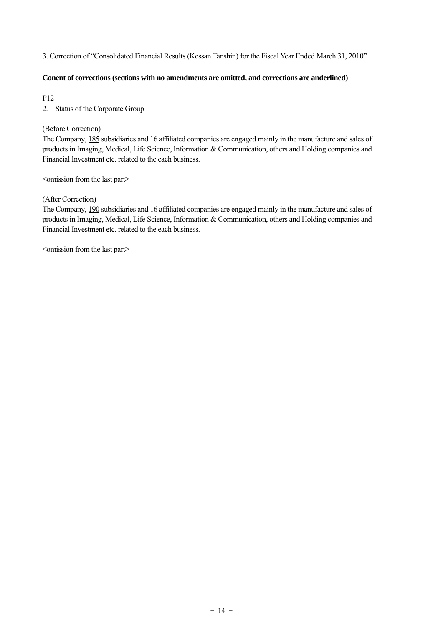#### 3. Correction of "Consolidated Financial Results (Kessan Tanshin) for the Fiscal Year Ended March 31, 2010"

#### **Conent of corrections (sections with no amendments are omitted, and corrections are anderlined)**

P12

2. Status of the Corporate Group

# (Before Correction)

The Company, 185 subsidiaries and 16 affiliated companies are engaged mainly in the manufacture and sales of products in Imaging, Medical, Life Science, Information & Communication, others and Holding companies and Financial Investment etc. related to the each business.

 $\leq$ omission from the last part $\geq$ 

#### (After Correction)

The Company, 190 subsidiaries and 16 affiliated companies are engaged mainly in the manufacture and sales of products in Imaging, Medical, Life Science, Information & Communication, others and Holding companies and Financial Investment etc. related to the each business.

<omission from the last part>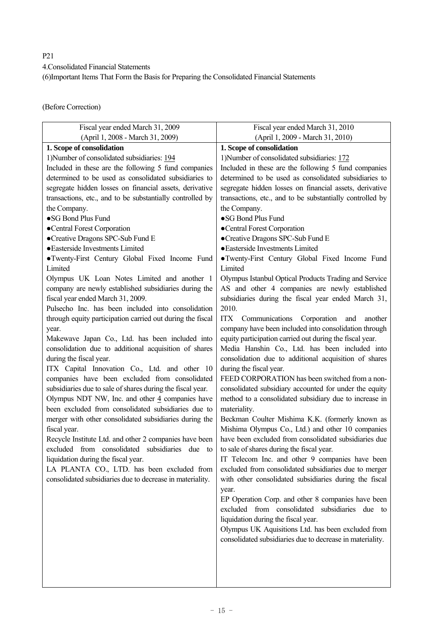P21

4.Consolidated Financial Statements

(6)Important Items That Form the Basis for Preparing the Consolidated Financial Statements

(Before Correction)

| Fiscal year ended March 31, 2009                            | Fiscal year ended March 31, 2010                          |
|-------------------------------------------------------------|-----------------------------------------------------------|
| (April 1, 2008 - March 31, 2009)                            | (April 1, 2009 - March 31, 2010)                          |
| 1. Scope of consolidation                                   | 1. Scope of consolidation                                 |
| 1) Number of consolidated subsidiaries: 194                 | 1) Number of consolidated subsidiaries: 172               |
| Included in these are the following 5 fund companies        | Included in these are the following 5 fund companies      |
| determined to be used as consolidated subsidiaries to       | determined to be used as consolidated subsidiaries to     |
| segregate hidden losses on financial assets, derivative     | segregate hidden losses on financial assets, derivative   |
| transactions, etc., and to be substantially controlled by   | transactions, etc., and to be substantially controlled by |
| the Company.                                                | the Company.                                              |
| ·SG Bond Plus Fund                                          | ·SG Bond Plus Fund                                        |
| •Central Forest Corporation                                 | •Central Forest Corporation                               |
| •Creative Dragons SPC-Sub Fund E                            | •Creative Dragons SPC-Sub Fund E                          |
| · Easterside Investments Limited                            | · Easterside Investments Limited                          |
| ·Twenty-First Century Global Fixed Income Fund              | • Twenty-First Century Global Fixed Income Fund           |
| Limited                                                     | Limited                                                   |
| Olympus UK Loan Notes Limited and another 1                 | Olympus Istanbul Optical Products Trading and Service     |
| company are newly established subsidiaries during the       | AS and other 4 companies are newly established            |
| fiscal year ended March 31, 2009.                           | subsidiaries during the fiscal year ended March 31,       |
| Pulsecho Inc. has been included into consolidation          | 2010.                                                     |
| through equity participation carried out during the fiscal  | ITX<br>Communications Corporation and<br>another          |
| year.                                                       | company have been included into consolidation through     |
| Makewave Japan Co., Ltd. has been included into             | equity participation carried out during the fiscal year.  |
| consolidation due to additional acquisition of shares       | Media Hanshin Co., Ltd. has been included into            |
| during the fiscal year.                                     | consolidation due to additional acquisition of shares     |
| ITX Capital Innovation Co., Ltd. and other 10               | during the fiscal year.                                   |
| companies have been excluded from consolidated              | FEED CORPORATION has been switched from a non-            |
| subsidiaries due to sale of shares during the fiscal year.  | consolidated subsidiary accounted for under the equity    |
| Olympus NDT NW, Inc. and other $\frac{4}{3}$ companies have | method to a consolidated subsidiary due to increase in    |
| been excluded from consolidated subsidiaries due to         | materiality.                                              |
| merger with other consolidated subsidiaries during the      | Beckman Coulter Mishima K.K. (formerly known as           |
| fiscal year.                                                | Mishima Olympus Co., Ltd.) and other 10 companies         |
| Recycle Institute Ltd. and other 2 companies have been      | have been excluded from consolidated subsidiaries due     |
| excluded from consolidated subsidiaries due<br>to           | to sale of shares during the fiscal year.                 |
| liquidation during the fiscal year.                         | IT Telecom Inc. and other 9 companies have been           |
| LA PLANTA CO., LTD. has been excluded from                  | excluded from consolidated subsidiaries due to merger     |
| consolidated subsidiaries due to decrease in materiality.   | with other consolidated subsidiaries during the fiscal    |
|                                                             | year.                                                     |
|                                                             | EP Operation Corp. and other 8 companies have been        |
|                                                             | excluded from consolidated subsidiaries due to            |
|                                                             | liquidation during the fiscal year.                       |
|                                                             | Olympus UK Aquisitions Ltd. has been excluded from        |
|                                                             | consolidated subsidiaries due to decrease in materiality. |
|                                                             |                                                           |
|                                                             |                                                           |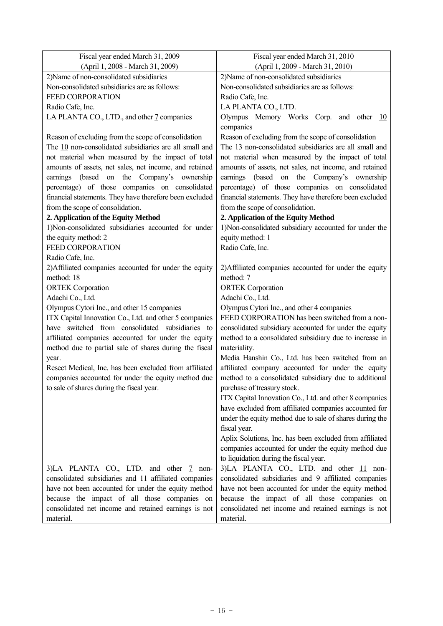| Fiscal year ended March 31, 2009                                     | Fiscal year ended March 31, 2010                                    |
|----------------------------------------------------------------------|---------------------------------------------------------------------|
| (April 1, 2008 - March 31, 2009)                                     | (April 1, 2009 - March 31, 2010)                                    |
| 2) Name of non-consolidated subsidiaries                             | 2)Name of non-consolidated subsidiaries                             |
| Non-consolidated subsidiaries are as follows:                        | Non-consolidated subsidiaries are as follows:                       |
| <b>FEED CORPORATION</b>                                              | Radio Cafe, Inc.                                                    |
| Radio Cafe, Inc.                                                     | LA PLANTA CO., LTD.                                                 |
| LA PLANTA CO., LTD., and other 7 companies                           | Olympus Memory Works Corp. and other<br>- 10                        |
|                                                                      | companies                                                           |
| Reason of excluding from the scope of consolidation                  | Reason of excluding from the scope of consolidation                 |
| The 10 non-consolidated subsidiaries are all small and               | The 13 non-consolidated subsidiaries are all small and              |
| not material when measured by the impact of total                    | not material when measured by the impact of total                   |
| amounts of assets, net sales, net income, and retained               | amounts of assets, net sales, net income, and retained              |
| earnings (based on the Company's ownership                           | earnings (based on the Company's ownership                          |
| percentage) of those companies on consolidated                       | percentage) of those companies on consolidated                      |
| financial statements. They have therefore been excluded              | financial statements. They have therefore been excluded             |
| from the scope of consolidation.                                     | from the scope of consolidation.                                    |
| 2. Application of the Equity Method                                  | 2. Application of the Equity Method                                 |
| 1)Non-consolidated subsidiaries accounted for under                  | 1)Non-consolidated subsidiary accounted for under the               |
| the equity method: 2                                                 | equity method: 1                                                    |
| FEED CORPORATION                                                     | Radio Cafe, Inc.                                                    |
| Radio Cafe, Inc.                                                     |                                                                     |
| 2) Affiliated companies accounted for under the equity<br>method: 18 | 2) Affiliated companies accounted for under the equity<br>method: 7 |
| <b>ORTEK</b> Corporation                                             | <b>ORTEK</b> Corporation                                            |
| Adachi Co., Ltd.                                                     | Adachi Co., Ltd.                                                    |
| Olympus Cytori Inc., and other 15 companies                          | Olympus Cytori Inc., and other 4 companies                          |
| ITX Capital Innovation Co., Ltd. and other 5 companies               | FEED CORPORATION has been switched from a non-                      |
| have switched from consolidated subsidiaries<br>to                   | consolidated subsidiary accounted for under the equity              |
| affiliated companies accounted for under the equity                  | method to a consolidated subsidiary due to increase in              |
| method due to partial sale of shares during the fiscal               | materiality.                                                        |
| year.                                                                | Media Hanshin Co., Ltd. has been switched from an                   |
| Resect Medical, Inc. has been excluded from affiliated               | affiliated company accounted for under the equity                   |
| companies accounted for under the equity method due                  | method to a consolidated subsidiary due to additional               |
| to sale of shares during the fiscal year.                            | purchase of treasury stock.                                         |
|                                                                      | ITX Capital Innovation Co., Ltd. and other 8 companies              |
|                                                                      | have excluded from affiliated companies accounted for               |
|                                                                      | under the equity method due to sale of shares during the            |
|                                                                      | fiscal year.                                                        |
|                                                                      | Aplix Solutions, Inc. has been excluded from affiliated             |
|                                                                      | companies accounted for under the equity method due                 |
|                                                                      | to liquidation during the fiscal year.                              |
| 3)LA PLANTA CO., LTD. and other 7 non-                               | 3)LA PLANTA CO., LTD. and other 11 non-                             |
| consolidated subsidiaries and 11 affiliated companies                | consolidated subsidiaries and 9 affiliated companies                |
| have not been accounted for under the equity method                  | have not been accounted for under the equity method                 |
| because the impact of all those companies on                         | because the impact of all those companies on                        |
| consolidated net income and retained earnings is not                 | consolidated net income and retained earnings is not                |
| material.                                                            | material.                                                           |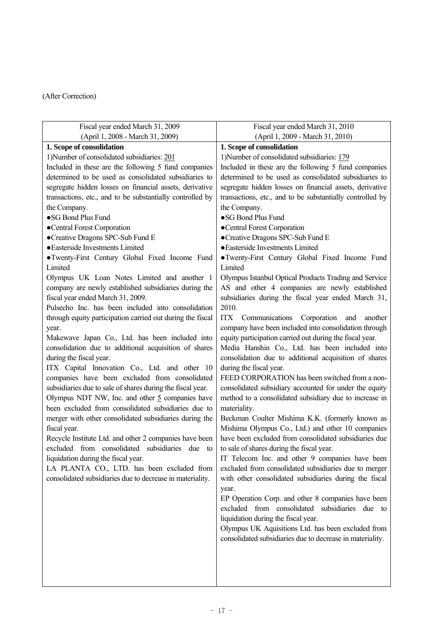| Fiscal year ended March 31, 2009                           | Fiscal year ended March 31, 2010                                                                        |
|------------------------------------------------------------|---------------------------------------------------------------------------------------------------------|
| (April 1, 2008 - March 31, 2009)                           | (April 1, 2009 - March 31, 2010)                                                                        |
| 1. Scope of consolidation                                  | 1. Scope of consolidation                                                                               |
| 1)Number of consolidated subsidiaries: 201                 | 1) Number of consolidated subsidiaries: 179                                                             |
| Included in these are the following 5 fund companies       | Included in these are the following 5 fund companies                                                    |
| determined to be used as consolidated subsidiaries to      | determined to be used as consolidated subsidiaries to                                                   |
| segregate hidden losses on financial assets, derivative    | segregate hidden losses on financial assets, derivative                                                 |
| transactions, etc., and to be substantially controlled by  | transactions, etc., and to be substantially controlled by                                               |
| the Company.                                               | the Company.                                                                                            |
| •SG Bond Plus Fund                                         | •SG Bond Plus Fund                                                                                      |
| •Central Forest Corporation                                | ·Central Forest Corporation                                                                             |
| •Creative Dragons SPC-Sub Fund E                           | •Creative Dragons SPC-Sub Fund E                                                                        |
| · Easterside Investments Limited                           | · Easterside Investments Limited                                                                        |
| • Twenty-First Century Global Fixed Income Fund            | • Twenty-First Century Global Fixed Income Fund                                                         |
| Limited                                                    | Limited                                                                                                 |
| Olympus UK Loan Notes Limited and another 1                | Olympus Istanbul Optical Products Trading and Service                                                   |
| company are newly established subsidiaries during the      | AS and other 4 companies are newly established                                                          |
| fiscal year ended March 31, 2009.                          | subsidiaries during the fiscal year ended March 31,                                                     |
| Pulsecho Inc. has been included into consolidation         | 2010.                                                                                                   |
| through equity participation carried out during the fiscal | Communications<br>Corporation<br><b>ITX</b><br>and<br>another                                           |
| year.                                                      | company have been included into consolidation through                                                   |
| Makewave Japan Co., Ltd. has been included into            | equity participation carried out during the fiscal year.                                                |
| consolidation due to additional acquisition of shares      | Media Hanshin Co., Ltd. has been included into                                                          |
| during the fiscal year.                                    | consolidation due to additional acquisition of shares                                                   |
| ITX Capital Innovation Co., Ltd. and other 10              | during the fiscal year.                                                                                 |
| companies have been excluded from consolidated             | FEED CORPORATION has been switched from a non-                                                          |
| subsidiaries due to sale of shares during the fiscal year. | consolidated subsidiary accounted for under the equity                                                  |
| Olympus NDT NW, Inc. and other $5$ companies have          | method to a consolidated subsidiary due to increase in                                                  |
| been excluded from consolidated subsidiaries due to        | materiality.                                                                                            |
| merger with other consolidated subsidiaries during the     | Beckman Coulter Mishima K.K. (formerly known as                                                         |
| fiscal year.                                               | Mishima Olympus Co., Ltd.) and other 10 companies                                                       |
| Recycle Institute Ltd. and other 2 companies have been     | have been excluded from consolidated subsidiaries due                                                   |
| excluded from consolidated subsidiaries due<br>to          | to sale of shares during the fiscal year.                                                               |
| liquidation during the fiscal year.                        | IT Telecom Inc. and other 9 companies have been                                                         |
| LA PLANTA CO., LTD. has been excluded from                 | excluded from consolidated subsidiaries due to merger                                                   |
| consolidated subsidiaries due to decrease in materiality.  | with other consolidated subsidiaries during the fiscal                                                  |
|                                                            | year.                                                                                                   |
|                                                            | EP Operation Corp. and other 8 companies have been<br>from consolidated subsidiaries due to<br>excluded |
|                                                            | liquidation during the fiscal year.                                                                     |
|                                                            | Olympus UK Aquisitions Ltd. has been excluded from                                                      |
|                                                            | consolidated subsidiaries due to decrease in materiality.                                               |
|                                                            |                                                                                                         |
|                                                            |                                                                                                         |
|                                                            |                                                                                                         |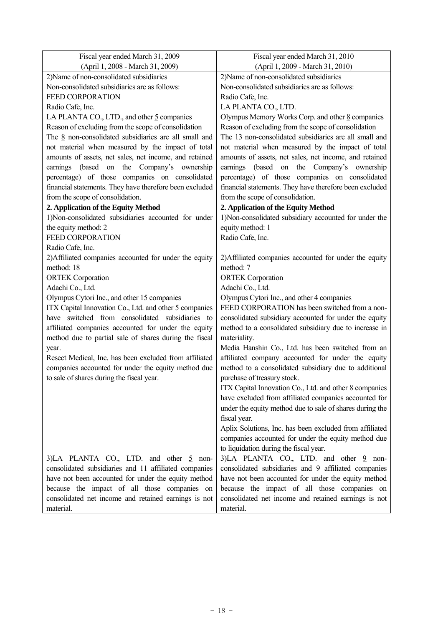| Fiscal year ended March 31, 2009                        | Fiscal year ended March 31, 2010                         |
|---------------------------------------------------------|----------------------------------------------------------|
| (April 1, 2008 - March 31, 2009)                        | (April 1, 2009 - March 31, 2010)                         |
| 2)Name of non-consolidated subsidiaries                 | 2)Name of non-consolidated subsidiaries                  |
| Non-consolidated subsidiaries are as follows:           | Non-consolidated subsidiaries are as follows:            |
| <b>FEED CORPORATION</b>                                 | Radio Cafe, Inc.                                         |
| Radio Cafe, Inc.                                        | LA PLANTA CO., LTD.                                      |
| LA PLANTA CO., LTD., and other 5 companies              | Olympus Memory Works Corp. and other 8 companies         |
| Reason of excluding from the scope of consolidation     | Reason of excluding from the scope of consolidation      |
| The $8$ non-consolidated subsidiaries are all small and | The 13 non-consolidated subsidiaries are all small and   |
| not material when measured by the impact of total       | not material when measured by the impact of total        |
| amounts of assets, net sales, net income, and retained  | amounts of assets, net sales, net income, and retained   |
| earnings (based on the Company's ownership              | earnings (based on the Company's ownership               |
| percentage) of those companies on consolidated          | percentage) of those companies on consolidated           |
| financial statements. They have therefore been excluded | financial statements. They have therefore been excluded  |
| from the scope of consolidation.                        | from the scope of consolidation.                         |
| 2. Application of the Equity Method                     | 2. Application of the Equity Method                      |
| 1)Non-consolidated subsidiaries accounted for under     | 1)Non-consolidated subsidiary accounted for under the    |
| the equity method: 2                                    | equity method: 1                                         |
| <b>FEED CORPORATION</b>                                 | Radio Cafe, Inc.                                         |
| Radio Cafe, Inc.                                        |                                                          |
| 2) Affiliated companies accounted for under the equity  | 2) Affiliated companies accounted for under the equity   |
| method: 18                                              | method: 7                                                |
| <b>ORTEK</b> Corporation                                | <b>ORTEK</b> Corporation                                 |
| Adachi Co., Ltd.                                        | Adachi Co., Ltd.                                         |
| Olympus Cytori Inc., and other 15 companies             | Olympus Cytori Inc., and other 4 companies               |
| ITX Capital Innovation Co., Ltd. and other 5 companies  | FEED CORPORATION has been switched from a non-           |
| have switched from consolidated subsidiaries to         | consolidated subsidiary accounted for under the equity   |
| affiliated companies accounted for under the equity     | method to a consolidated subsidiary due to increase in   |
| method due to partial sale of shares during the fiscal  | materiality.                                             |
| year.                                                   | Media Hanshin Co., Ltd. has been switched from an        |
| Resect Medical, Inc. has been excluded from affiliated  | affiliated company accounted for under the equity        |
| companies accounted for under the equity method due     | method to a consolidated subsidiary due to additional    |
| to sale of shares during the fiscal year.               | purchase of treasury stock.                              |
|                                                         | ITX Capital Innovation Co., Ltd. and other 8 companies   |
|                                                         | have excluded from affiliated companies accounted for    |
|                                                         | under the equity method due to sale of shares during the |
|                                                         | fiscal year.                                             |
|                                                         | Aplix Solutions, Inc. has been excluded from affiliated  |
|                                                         | companies accounted for under the equity method due      |
|                                                         | to liquidation during the fiscal year.                   |
| 3)LA PLANTA CO., LTD. and other 5 non-                  | 3)LA PLANTA CO., LTD. and other 9 non-                   |
| consolidated subsidiaries and 11 affiliated companies   | consolidated subsidiaries and 9 affiliated companies     |
| have not been accounted for under the equity method     | have not been accounted for under the equity method      |
| because the impact of all those companies on            | because the impact of all those companies on             |
| consolidated net income and retained earnings is not    | consolidated net income and retained earnings is not     |
| material.                                               | material.                                                |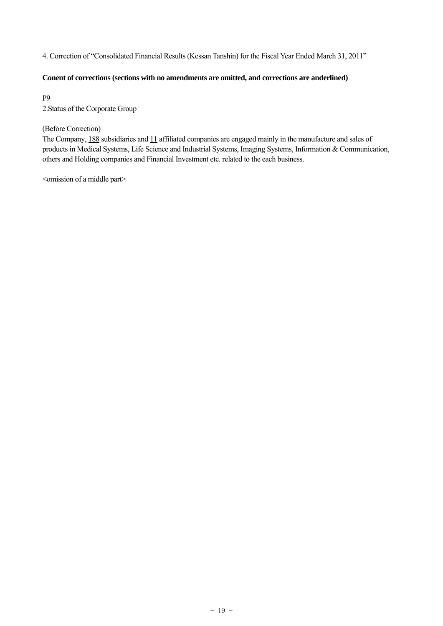4. Correction of "Consolidated Financial Results (Kessan Tanshin) for the Fiscal Year Ended March 31, 2011"

#### **Conent of corrections (sections with no amendments are omitted, and corrections are anderlined)**

P9

2.Status of the Corporate Group

# (Before Correction)

The Company, 188 subsidiaries and 11 affiliated companies are engaged mainly in the manufacture and sales of products in Medical Systems, Life Science and Industrial Systems, Imaging Systems, Information & Communication, others and Holding companies and Financial Investment etc. related to the each business.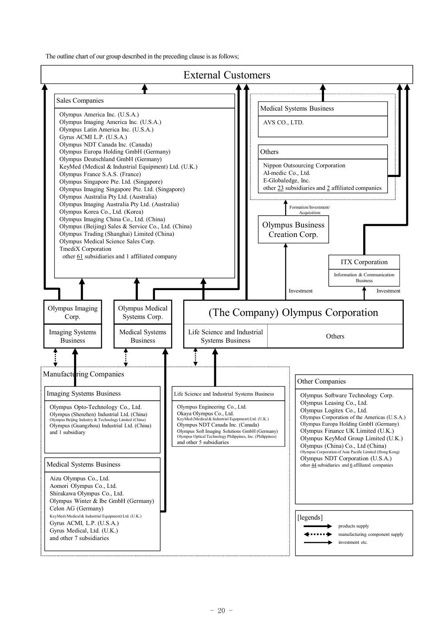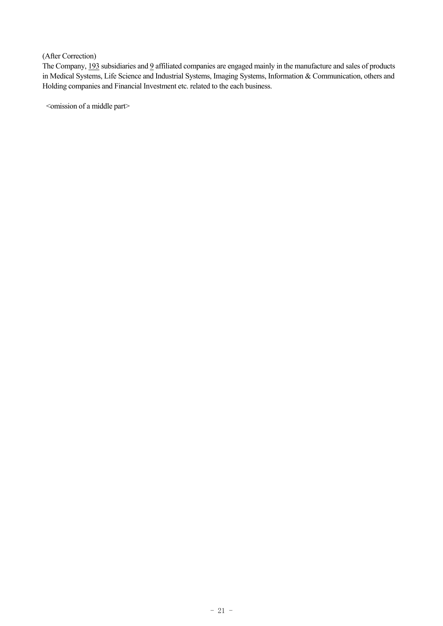The Company, 193 subsidiaries and 9 affiliated companies are engaged mainly in the manufacture and sales of products in Medical Systems, Life Science and Industrial Systems, Imaging Systems, Information & Communication, others and Holding companies and Financial Investment etc. related to the each business.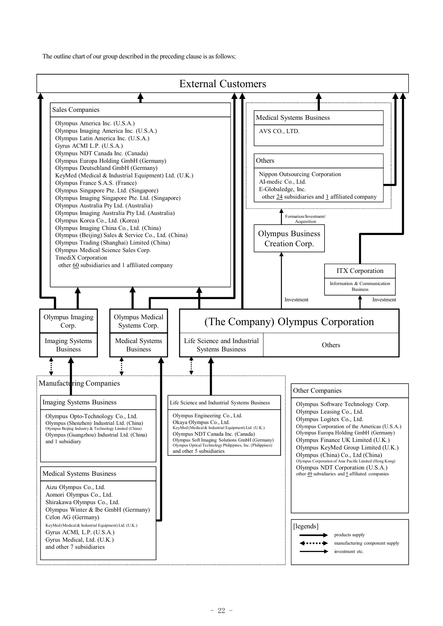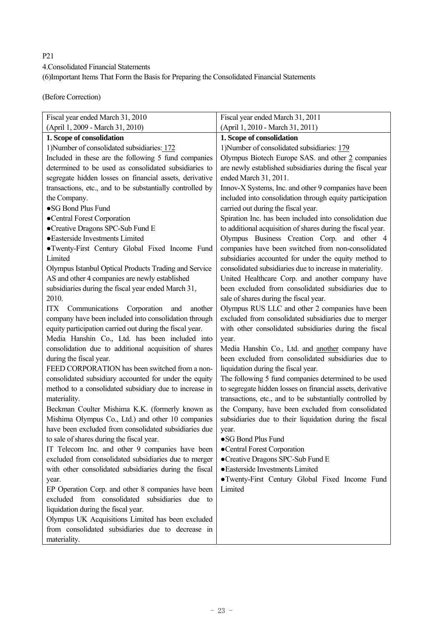P21 4.Consolidated Financial Statements (6)Important Items That Form the Basis for Preparing the Consolidated Financial Statements

(Before Correction)

| Fiscal year ended March 31, 2010                          | Fiscal year ended March 31, 2011                            |
|-----------------------------------------------------------|-------------------------------------------------------------|
| (April 1, 2009 - March 31, 2010)                          | (April 1, 2010 - March 31, 2011)                            |
| 1. Scope of consolidation                                 | 1. Scope of consolidation                                   |
| 1) Number of consolidated subsidiaries: 172               | 1) Number of consolidated subsidiaries: 179                 |
| Included in these are the following 5 fund companies      | Olympus Biotech Europe SAS. and other 2 companies           |
| determined to be used as consolidated subsidiaries to     | are newly established subsidiaries during the fiscal year   |
| segregate hidden losses on financial assets, derivative   | ended March 31, 2011.                                       |
| transactions, etc., and to be substantially controlled by | Innov-X Systems, Inc. and other 9 companies have been       |
| the Company.                                              | included into consolidation through equity participation    |
| ·SG Bond Plus Fund                                        | carried out during the fiscal year.                         |
| ·Central Forest Corporation                               | Spiration Inc. has been included into consolidation due     |
| •Creative Dragons SPC-Sub Fund E                          | to additional acquisition of shares during the fiscal year. |
| · Easterside Investments Limited                          | Olympus Business Creation Corp. and other 4                 |
| ·Twenty-First Century Global Fixed Income Fund            | companies have been switched from non-consolidated          |
| Limited                                                   | subsidiaries accounted for under the equity method to       |
| Olympus Istanbul Optical Products Trading and Service     | consolidated subsidiaries due to increase in materiality.   |
| AS and other 4 companies are newly established            | United Healthcare Corp. and another company have            |
| subsidiaries during the fiscal year ended March 31,       | been excluded from consolidated subsidiaries due to         |
| 2010.                                                     | sale of shares during the fiscal year.                      |
| ITX<br>Communications<br>Corporation<br>and<br>another    | Olympus RUS LLC and other 2 companies have been             |
| company have been included into consolidation through     | excluded from consolidated subsidiaries due to merger       |
| equity participation carried out during the fiscal year.  | with other consolidated subsidiaries during the fiscal      |
| Media Hanshin Co., Ltd. has been included into            | year.                                                       |
| consolidation due to additional acquisition of shares     | Media Hanshin Co., Ltd. and another company have            |
| during the fiscal year.                                   | been excluded from consolidated subsidiaries due to         |
| FEED CORPORATION has been switched from a non-            | liquidation during the fiscal year.                         |
| consolidated subsidiary accounted for under the equity    | The following 5 fund companies determined to be used        |
| method to a consolidated subsidiary due to increase in    | to segregate hidden losses on financial assets, derivative  |
| materiality.                                              | transactions, etc., and to be substantially controlled by   |
| Beckman Coulter Mishima K.K. (formerly known as           | the Company, have been excluded from consolidated           |
| Mishima Olympus Co., Ltd.) and other 10 companies         | subsidiaries due to their liquidation during the fiscal     |
| have been excluded from consolidated subsidiaries due     | year.                                                       |
| to sale of shares during the fiscal year.                 | •SG Bond Plus Fund                                          |
| IT Telecom Inc. and other 9 companies have been           | •Central Forest Corporation                                 |
| excluded from consolidated subsidiaries due to merger     | •Creative Dragons SPC-Sub Fund E                            |
| with other consolidated subsidiaries during the fiscal    | · Easterside Investments Limited                            |
| year.                                                     | • Twenty-First Century Global Fixed Income Fund             |
| EP Operation Corp. and other 8 companies have been        | Limited                                                     |
| excluded from consolidated subsidiaries due<br>to         |                                                             |
| liquidation during the fiscal year.                       |                                                             |
| Olympus UK Acquisitions Limited has been excluded         |                                                             |
| from consolidated subsidiaries due to decrease in         |                                                             |
| materiality.                                              |                                                             |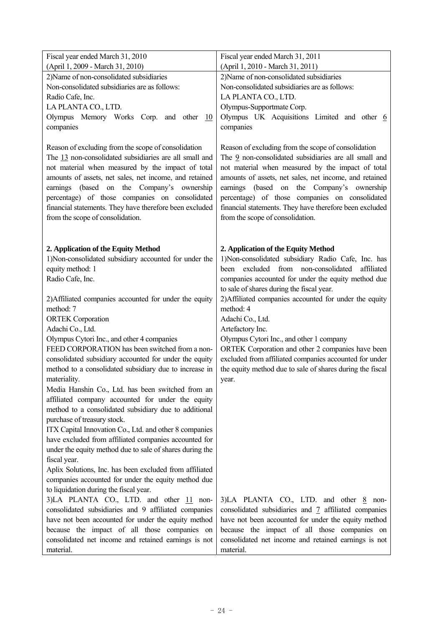| Fiscal year ended March 31, 2010                                                                                                                                                                                                                                                                                                                                                                                            | Fiscal year ended March 31, 2011                                                                                                                                                                                                                                                                                                                                                                                           |
|-----------------------------------------------------------------------------------------------------------------------------------------------------------------------------------------------------------------------------------------------------------------------------------------------------------------------------------------------------------------------------------------------------------------------------|----------------------------------------------------------------------------------------------------------------------------------------------------------------------------------------------------------------------------------------------------------------------------------------------------------------------------------------------------------------------------------------------------------------------------|
| (April 1, 2009 - March 31, 2010)                                                                                                                                                                                                                                                                                                                                                                                            | (April 1, 2010 - March 31, 2011)                                                                                                                                                                                                                                                                                                                                                                                           |
| 2) Name of non-consolidated subsidiaries                                                                                                                                                                                                                                                                                                                                                                                    | 2) Name of non-consolidated subsidiaries                                                                                                                                                                                                                                                                                                                                                                                   |
| Non-consolidated subsidiaries are as follows:                                                                                                                                                                                                                                                                                                                                                                               | Non-consolidated subsidiaries are as follows:                                                                                                                                                                                                                                                                                                                                                                              |
| Radio Cafe, Inc.                                                                                                                                                                                                                                                                                                                                                                                                            | LA PLANTA CO., LTD.                                                                                                                                                                                                                                                                                                                                                                                                        |
| LA PLANTA CO., LTD.                                                                                                                                                                                                                                                                                                                                                                                                         | Olympus-Supportmate Corp.                                                                                                                                                                                                                                                                                                                                                                                                  |
| Olympus Memory Works Corp. and other<br>10                                                                                                                                                                                                                                                                                                                                                                                  | Olympus UK Acquisitions Limited and other 6                                                                                                                                                                                                                                                                                                                                                                                |
| companies                                                                                                                                                                                                                                                                                                                                                                                                                   | companies                                                                                                                                                                                                                                                                                                                                                                                                                  |
| Reason of excluding from the scope of consolidation<br>The 13 non-consolidated subsidiaries are all small and<br>not material when measured by the impact of total<br>amounts of assets, net sales, net income, and retained<br>earnings (based on the Company's ownership<br>percentage) of those companies on consolidated<br>financial statements. They have therefore been excluded<br>from the scope of consolidation. | Reason of excluding from the scope of consolidation<br>The 9 non-consolidated subsidiaries are all small and<br>not material when measured by the impact of total<br>amounts of assets, net sales, net income, and retained<br>earnings (based on the Company's ownership<br>percentage) of those companies on consolidated<br>financial statements. They have therefore been excluded<br>from the scope of consolidation. |
| 2. Application of the Equity Method<br>1)Non-consolidated subsidiary accounted for under the<br>equity method: 1<br>Radio Cafe, Inc.                                                                                                                                                                                                                                                                                        | 2. Application of the Equity Method<br>1)Non-consolidated subsidiary Radio Cafe, Inc. has<br>been excluded from non-consolidated affiliated<br>companies accounted for under the equity method due                                                                                                                                                                                                                         |
|                                                                                                                                                                                                                                                                                                                                                                                                                             | to sale of shares during the fiscal year.                                                                                                                                                                                                                                                                                                                                                                                  |
| 2) Affiliated companies accounted for under the equity                                                                                                                                                                                                                                                                                                                                                                      | 2) Affiliated companies accounted for under the equity                                                                                                                                                                                                                                                                                                                                                                     |
| method: 7                                                                                                                                                                                                                                                                                                                                                                                                                   | method: 4                                                                                                                                                                                                                                                                                                                                                                                                                  |
| <b>ORTEK</b> Corporation                                                                                                                                                                                                                                                                                                                                                                                                    | Adachi Co., Ltd.                                                                                                                                                                                                                                                                                                                                                                                                           |
| Adachi Co., Ltd.                                                                                                                                                                                                                                                                                                                                                                                                            | Artefactory Inc.                                                                                                                                                                                                                                                                                                                                                                                                           |
| Olympus Cytori Inc., and other 4 companies                                                                                                                                                                                                                                                                                                                                                                                  | Olympus Cytori Inc., and other 1 company                                                                                                                                                                                                                                                                                                                                                                                   |
| FEED CORPORATION has been switched from a non-                                                                                                                                                                                                                                                                                                                                                                              | ORTEK Corporation and other 2 companies have been                                                                                                                                                                                                                                                                                                                                                                          |
| consolidated subsidiary accounted for under the equity                                                                                                                                                                                                                                                                                                                                                                      | excluded from affiliated companies accounted for under                                                                                                                                                                                                                                                                                                                                                                     |
| method to a consolidated subsidiary due to increase in<br>materiality.                                                                                                                                                                                                                                                                                                                                                      | the equity method due to sale of shares during the fiscal                                                                                                                                                                                                                                                                                                                                                                  |
| Media Hanshin Co., Ltd. has been switched from an                                                                                                                                                                                                                                                                                                                                                                           | year.                                                                                                                                                                                                                                                                                                                                                                                                                      |
| affiliated company accounted for under the equity                                                                                                                                                                                                                                                                                                                                                                           |                                                                                                                                                                                                                                                                                                                                                                                                                            |
| method to a consolidated subsidiary due to additional                                                                                                                                                                                                                                                                                                                                                                       |                                                                                                                                                                                                                                                                                                                                                                                                                            |
| purchase of treasury stock.                                                                                                                                                                                                                                                                                                                                                                                                 |                                                                                                                                                                                                                                                                                                                                                                                                                            |
| ITX Capital Innovation Co., Ltd. and other 8 companies                                                                                                                                                                                                                                                                                                                                                                      |                                                                                                                                                                                                                                                                                                                                                                                                                            |
| have excluded from affiliated companies accounted for                                                                                                                                                                                                                                                                                                                                                                       |                                                                                                                                                                                                                                                                                                                                                                                                                            |
| under the equity method due to sale of shares during the                                                                                                                                                                                                                                                                                                                                                                    |                                                                                                                                                                                                                                                                                                                                                                                                                            |
| fiscal year.                                                                                                                                                                                                                                                                                                                                                                                                                |                                                                                                                                                                                                                                                                                                                                                                                                                            |
| Aplix Solutions, Inc. has been excluded from affiliated                                                                                                                                                                                                                                                                                                                                                                     |                                                                                                                                                                                                                                                                                                                                                                                                                            |
| companies accounted for under the equity method due                                                                                                                                                                                                                                                                                                                                                                         |                                                                                                                                                                                                                                                                                                                                                                                                                            |
| to liquidation during the fiscal year.                                                                                                                                                                                                                                                                                                                                                                                      |                                                                                                                                                                                                                                                                                                                                                                                                                            |
| 3)LA PLANTA CO., LTD. and other 11 non-                                                                                                                                                                                                                                                                                                                                                                                     | 3)LA PLANTA CO., LTD. and other $8$ non-                                                                                                                                                                                                                                                                                                                                                                                   |
| consolidated subsidiaries and 9 affiliated companies                                                                                                                                                                                                                                                                                                                                                                        | consolidated subsidiaries and 7 affiliated companies                                                                                                                                                                                                                                                                                                                                                                       |
| have not been accounted for under the equity method                                                                                                                                                                                                                                                                                                                                                                         | have not been accounted for under the equity method                                                                                                                                                                                                                                                                                                                                                                        |
| because the impact of all those companies on                                                                                                                                                                                                                                                                                                                                                                                | because the impact of all those companies on                                                                                                                                                                                                                                                                                                                                                                               |
| consolidated net income and retained earnings is not                                                                                                                                                                                                                                                                                                                                                                        | consolidated net income and retained earnings is not                                                                                                                                                                                                                                                                                                                                                                       |
| material.                                                                                                                                                                                                                                                                                                                                                                                                                   | material.                                                                                                                                                                                                                                                                                                                                                                                                                  |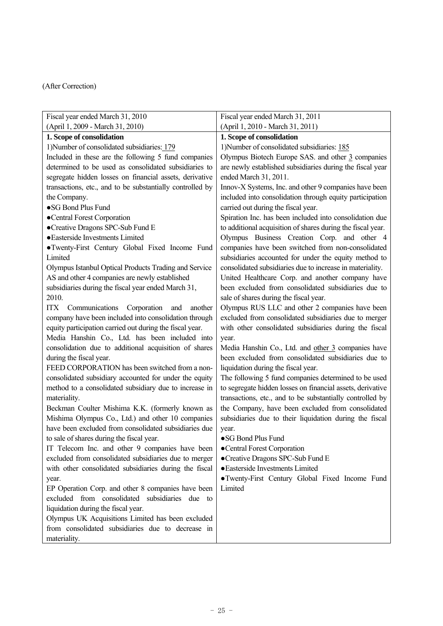| Fiscal year ended March 31, 2010                          | Fiscal year ended March 31, 2011                            |
|-----------------------------------------------------------|-------------------------------------------------------------|
| (April 1, 2009 - March 31, 2010)                          | (April 1, 2010 - March 31, 2011)                            |
| 1. Scope of consolidation                                 | 1. Scope of consolidation                                   |
| 1) Number of consolidated subsidiaries: 179               | 1) Number of consolidated subsidiaries: 185                 |
| Included in these are the following 5 fund companies      | Olympus Biotech Europe SAS. and other 3 companies           |
| determined to be used as consolidated subsidiaries to     | are newly established subsidiaries during the fiscal year   |
| segregate hidden losses on financial assets, derivative   | ended March 31, 2011.                                       |
| transactions, etc., and to be substantially controlled by | Innov-X Systems, Inc. and other 9 companies have been       |
| the Company.                                              | included into consolidation through equity participation    |
| ·SG Bond Plus Fund                                        | carried out during the fiscal year.                         |
| •Central Forest Corporation                               | Spiration Inc. has been included into consolidation due     |
| •Creative Dragons SPC-Sub Fund E                          | to additional acquisition of shares during the fiscal year. |
| · Easterside Investments Limited                          | Olympus Business Creation Corp. and other 4                 |
| ·Twenty-First Century Global Fixed Income Fund            | companies have been switched from non-consolidated          |
| Limited                                                   | subsidiaries accounted for under the equity method to       |
| Olympus Istanbul Optical Products Trading and Service     | consolidated subsidiaries due to increase in materiality.   |
| AS and other 4 companies are newly established            | United Healthcare Corp. and another company have            |
| subsidiaries during the fiscal year ended March 31,       | been excluded from consolidated subsidiaries due to         |
| 2010.                                                     | sale of shares during the fiscal year.                      |
| ITX<br>Communications<br>Corporation<br>and<br>another    | Olympus RUS LLC and other 2 companies have been             |
| company have been included into consolidation through     | excluded from consolidated subsidiaries due to merger       |
| equity participation carried out during the fiscal year.  | with other consolidated subsidiaries during the fiscal      |
| Media Hanshin Co., Ltd. has been included into            | year.                                                       |
| consolidation due to additional acquisition of shares     | Media Hanshin Co., Ltd. and other 3 companies have          |
| during the fiscal year.                                   | been excluded from consolidated subsidiaries due to         |
| FEED CORPORATION has been switched from a non-            | liquidation during the fiscal year.                         |
| consolidated subsidiary accounted for under the equity    | The following 5 fund companies determined to be used        |
| method to a consolidated subsidiary due to increase in    | to segregate hidden losses on financial assets, derivative  |
| materiality.                                              | transactions, etc., and to be substantially controlled by   |
| Beckman Coulter Mishima K.K. (formerly known as           | the Company, have been excluded from consolidated           |
| Mishima Olympus Co., Ltd.) and other 10 companies         | subsidiaries due to their liquidation during the fiscal     |
| have been excluded from consolidated subsidiaries due     | year.                                                       |
| to sale of shares during the fiscal year.                 | •SG Bond Plus Fund                                          |
| IT Telecom Inc. and other 9 companies have been           | •Central Forest Corporation                                 |
| excluded from consolidated subsidiaries due to merger     | •Creative Dragons SPC-Sub Fund E                            |
| with other consolidated subsidiaries during the fiscal    | · Easterside Investments Limited                            |
| year.                                                     | • Twenty-First Century Global Fixed Income Fund             |
| EP Operation Corp. and other 8 companies have been        | Limited                                                     |
| excluded from consolidated subsidiaries due to            |                                                             |
| liquidation during the fiscal year.                       |                                                             |
| Olympus UK Acquisitions Limited has been excluded         |                                                             |
| from consolidated subsidiaries due to decrease in         |                                                             |
| materiality.                                              |                                                             |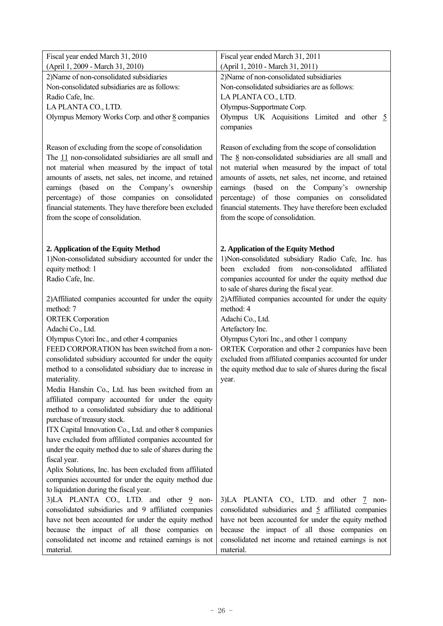| Fiscal year ended March 31, 2010                                                                                                                                                                                                                                                                                                                                                                                            | Fiscal year ended March 31, 2011                                                                                                                                                                                                                                                                                                                                                                                             |
|-----------------------------------------------------------------------------------------------------------------------------------------------------------------------------------------------------------------------------------------------------------------------------------------------------------------------------------------------------------------------------------------------------------------------------|------------------------------------------------------------------------------------------------------------------------------------------------------------------------------------------------------------------------------------------------------------------------------------------------------------------------------------------------------------------------------------------------------------------------------|
| (April 1, 2009 - March 31, 2010)                                                                                                                                                                                                                                                                                                                                                                                            | (April 1, 2010 - March 31, 2011)                                                                                                                                                                                                                                                                                                                                                                                             |
| 2)Name of non-consolidated subsidiaries                                                                                                                                                                                                                                                                                                                                                                                     | 2) Name of non-consolidated subsidiaries                                                                                                                                                                                                                                                                                                                                                                                     |
| Non-consolidated subsidiaries are as follows:                                                                                                                                                                                                                                                                                                                                                                               | Non-consolidated subsidiaries are as follows:                                                                                                                                                                                                                                                                                                                                                                                |
| Radio Cafe, Inc.                                                                                                                                                                                                                                                                                                                                                                                                            | LA PLANTA CO., LTD.                                                                                                                                                                                                                                                                                                                                                                                                          |
| LA PLANTA CO., LTD.                                                                                                                                                                                                                                                                                                                                                                                                         | Olympus-Supportmate Corp.                                                                                                                                                                                                                                                                                                                                                                                                    |
| Olympus Memory Works Corp. and other 8 companies                                                                                                                                                                                                                                                                                                                                                                            | Olympus UK Acquisitions Limited and other $\frac{5}{2}$                                                                                                                                                                                                                                                                                                                                                                      |
|                                                                                                                                                                                                                                                                                                                                                                                                                             | companies                                                                                                                                                                                                                                                                                                                                                                                                                    |
| Reason of excluding from the scope of consolidation<br>The 11 non-consolidated subsidiaries are all small and<br>not material when measured by the impact of total<br>amounts of assets, net sales, net income, and retained<br>earnings (based on the Company's ownership<br>percentage) of those companies on consolidated<br>financial statements. They have therefore been excluded<br>from the scope of consolidation. | Reason of excluding from the scope of consolidation<br>The $8$ non-consolidated subsidiaries are all small and<br>not material when measured by the impact of total<br>amounts of assets, net sales, net income, and retained<br>earnings (based on the Company's ownership<br>percentage) of those companies on consolidated<br>financial statements. They have therefore been excluded<br>from the scope of consolidation. |
| 2. Application of the Equity Method                                                                                                                                                                                                                                                                                                                                                                                         | 2. Application of the Equity Method                                                                                                                                                                                                                                                                                                                                                                                          |
| 1)Non-consolidated subsidiary accounted for under the                                                                                                                                                                                                                                                                                                                                                                       | 1)Non-consolidated subsidiary Radio Cafe, Inc. has<br>been excluded from non-consolidated<br>affiliated                                                                                                                                                                                                                                                                                                                      |
| equity method: 1                                                                                                                                                                                                                                                                                                                                                                                                            |                                                                                                                                                                                                                                                                                                                                                                                                                              |
| Radio Cafe, Inc.                                                                                                                                                                                                                                                                                                                                                                                                            | companies accounted for under the equity method due<br>to sale of shares during the fiscal year.                                                                                                                                                                                                                                                                                                                             |
|                                                                                                                                                                                                                                                                                                                                                                                                                             | 2) Affiliated companies accounted for under the equity                                                                                                                                                                                                                                                                                                                                                                       |
| 2) Affiliated companies accounted for under the equity<br>method: 7                                                                                                                                                                                                                                                                                                                                                         | method: 4                                                                                                                                                                                                                                                                                                                                                                                                                    |
| <b>ORTEK</b> Corporation                                                                                                                                                                                                                                                                                                                                                                                                    | Adachi Co., Ltd.                                                                                                                                                                                                                                                                                                                                                                                                             |
| Adachi Co., Ltd.                                                                                                                                                                                                                                                                                                                                                                                                            | Artefactory Inc.                                                                                                                                                                                                                                                                                                                                                                                                             |
| Olympus Cytori Inc., and other 4 companies                                                                                                                                                                                                                                                                                                                                                                                  | Olympus Cytori Inc., and other 1 company                                                                                                                                                                                                                                                                                                                                                                                     |
| FEED CORPORATION has been switched from a non-                                                                                                                                                                                                                                                                                                                                                                              | ORTEK Corporation and other 2 companies have been                                                                                                                                                                                                                                                                                                                                                                            |
| consolidated subsidiary accounted for under the equity                                                                                                                                                                                                                                                                                                                                                                      | excluded from affiliated companies accounted for under                                                                                                                                                                                                                                                                                                                                                                       |
| method to a consolidated subsidiary due to increase in                                                                                                                                                                                                                                                                                                                                                                      | the equity method due to sale of shares during the fiscal                                                                                                                                                                                                                                                                                                                                                                    |
| materiality.                                                                                                                                                                                                                                                                                                                                                                                                                | year.                                                                                                                                                                                                                                                                                                                                                                                                                        |
| Media Hanshin Co., Ltd. has been switched from an                                                                                                                                                                                                                                                                                                                                                                           |                                                                                                                                                                                                                                                                                                                                                                                                                              |
| affiliated company accounted for under the equity                                                                                                                                                                                                                                                                                                                                                                           |                                                                                                                                                                                                                                                                                                                                                                                                                              |
| method to a consolidated subsidiary due to additional                                                                                                                                                                                                                                                                                                                                                                       |                                                                                                                                                                                                                                                                                                                                                                                                                              |
| purchase of treasury stock.                                                                                                                                                                                                                                                                                                                                                                                                 |                                                                                                                                                                                                                                                                                                                                                                                                                              |
| ITX Capital Innovation Co., Ltd. and other 8 companies                                                                                                                                                                                                                                                                                                                                                                      |                                                                                                                                                                                                                                                                                                                                                                                                                              |
| have excluded from affiliated companies accounted for                                                                                                                                                                                                                                                                                                                                                                       |                                                                                                                                                                                                                                                                                                                                                                                                                              |
| under the equity method due to sale of shares during the                                                                                                                                                                                                                                                                                                                                                                    |                                                                                                                                                                                                                                                                                                                                                                                                                              |
| fiscal year.                                                                                                                                                                                                                                                                                                                                                                                                                |                                                                                                                                                                                                                                                                                                                                                                                                                              |
| Aplix Solutions, Inc. has been excluded from affiliated                                                                                                                                                                                                                                                                                                                                                                     |                                                                                                                                                                                                                                                                                                                                                                                                                              |
| companies accounted for under the equity method due                                                                                                                                                                                                                                                                                                                                                                         |                                                                                                                                                                                                                                                                                                                                                                                                                              |
| to liquidation during the fiscal year.                                                                                                                                                                                                                                                                                                                                                                                      |                                                                                                                                                                                                                                                                                                                                                                                                                              |
| 3)LA PLANTA CO., LTD. and other 9 non-                                                                                                                                                                                                                                                                                                                                                                                      | 3)LA PLANTA CO., LTD. and other 7 non-                                                                                                                                                                                                                                                                                                                                                                                       |
| consolidated subsidiaries and 9 affiliated companies                                                                                                                                                                                                                                                                                                                                                                        | consolidated subsidiaries and 5 affiliated companies                                                                                                                                                                                                                                                                                                                                                                         |
| have not been accounted for under the equity method                                                                                                                                                                                                                                                                                                                                                                         | have not been accounted for under the equity method                                                                                                                                                                                                                                                                                                                                                                          |
| because the impact of all those companies on                                                                                                                                                                                                                                                                                                                                                                                | because the impact of all those companies on                                                                                                                                                                                                                                                                                                                                                                                 |
| consolidated net income and retained earnings is not                                                                                                                                                                                                                                                                                                                                                                        |                                                                                                                                                                                                                                                                                                                                                                                                                              |
|                                                                                                                                                                                                                                                                                                                                                                                                                             | consolidated net income and retained earnings is not                                                                                                                                                                                                                                                                                                                                                                         |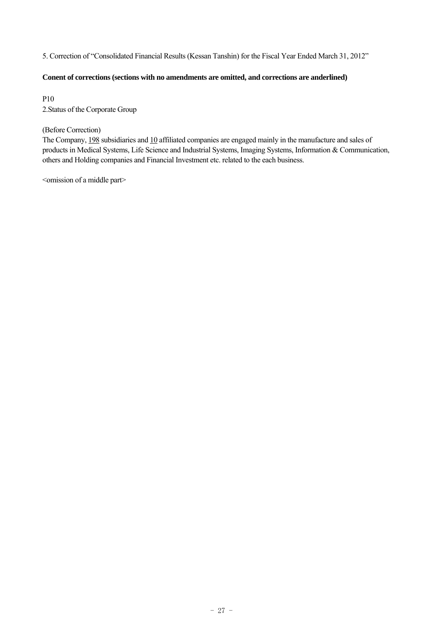5. Correction of "Consolidated Financial Results (Kessan Tanshin) for the Fiscal Year Ended March 31, 2012"

# **Conent of corrections (sections with no amendments are omitted, and corrections are anderlined)**

P10 2.Status of the Corporate Group

# (Before Correction)

The Company, 198 subsidiaries and 10 affiliated companies are engaged mainly in the manufacture and sales of products in Medical Systems, Life Science and Industrial Systems, Imaging Systems, Information & Communication, others and Holding companies and Financial Investment etc. related to the each business.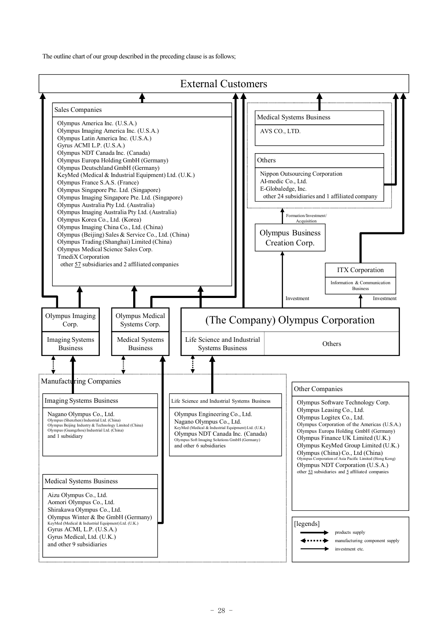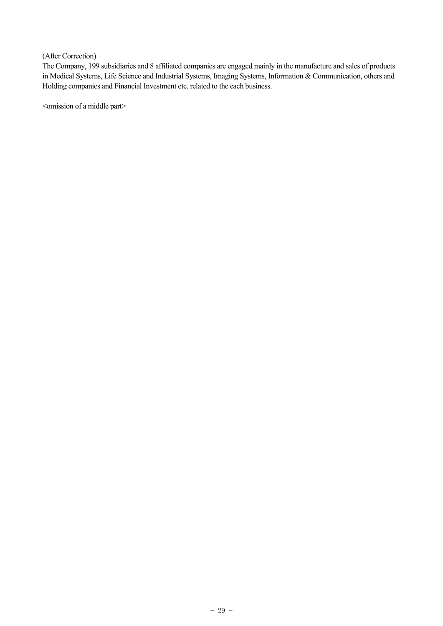The Company, 199 subsidiaries and 8 affiliated companies are engaged mainly in the manufacture and sales of products in Medical Systems, Life Science and Industrial Systems, Imaging Systems, Information & Communication, others and Holding companies and Financial Investment etc. related to the each business.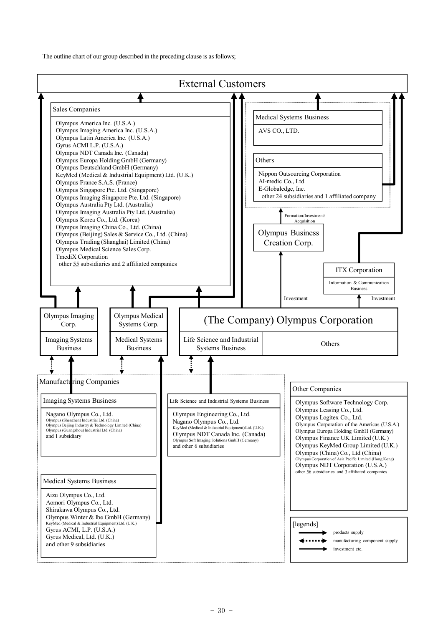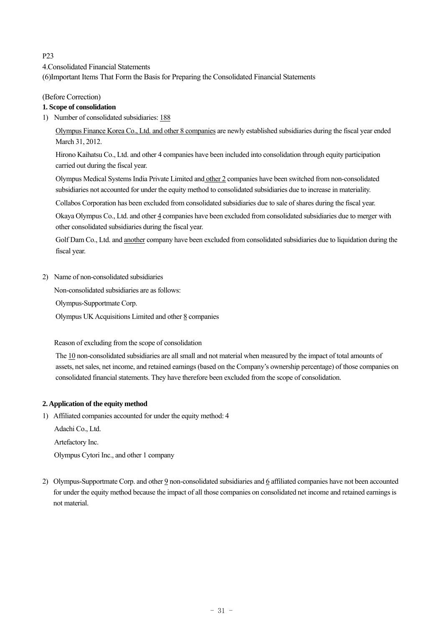# P23

4.Consolidated Financial Statements

(6)Important Items That Form the Basis for Preparing the Consolidated Financial Statements

# (Before Correction)

# **1. Scope of consolidation**

1) Number of consolidated subsidiaries: 188

Olympus Finance Korea Co., Ltd. and other 8 companies are newly established subsidiaries during the fiscal year ended March 31, 2012.

Hirono Kaihatsu Co., Ltd. and other 4 companies have been included into consolidation through equity participation carried out during the fiscal year.

Olympus Medical Systems India Private Limited and other 2 companies have been switched from non-consolidated subsidiaries not accounted for under the equity method to consolidated subsidiaries due to increase in materiality.

Collabos Corporation has been excluded from consolidated subsidiaries due to sale of shares during the fiscal year.

Okaya Olympus Co., Ltd. and other 4 companies have been excluded from consolidated subsidiaries due to merger with other consolidated subsidiaries during the fiscal year.

Golf Dam Co., Ltd. and another company have been excluded from consolidated subsidiaries due to liquidation during the fiscal year.

2) Name of non-consolidated subsidiaries

Non-consolidated subsidiaries are as follows:

Olympus-Supportmate Corp.

Olympus UK Acquisitions Limited and other  $8$  companies

Reason of excluding from the scope of consolidation

The 10 non-consolidated subsidiaries are all small and not material when measured by the impact of total amounts of assets, net sales, net income, and retained earnings (based on the Company's ownership percentage) of those companies on consolidated financial statements. They have therefore been excluded from the scope of consolidation.

#### **2. Application of the equity method**

1) Affiliated companies accounted for under the equity method: 4

Adachi Co., Ltd.

Artefactory Inc.

Olympus Cytori Inc., and other 1 company

2) Olympus-Supportmate Corp. and other 9 non-consolidated subsidiaries and 6 affiliated companies have not been accounted for under the equity method because the impact of all those companies on consolidated net income and retained earnings is not material.